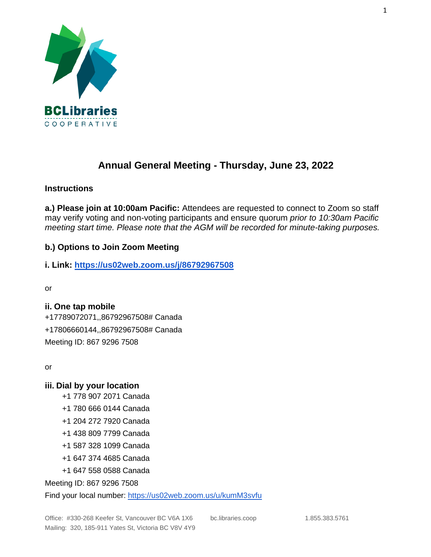

# **Annual General Meeting - Thursday, June 23, 2022**

## **Instructions**

**a.) Please join at 10:00am Pacific:** Attendees are requested to connect to Zoom so staff may verify voting and non-voting participants and ensure quorum *prior to 10:30am Pacific meeting start time. Please note that the AGM will be recorded for minute-taking purposes.*

# **b.) Options to Join Zoom Meeting**

### **i. Link:<https://us02web.zoom.us/j/86792967508>**

or

# **ii. One tap mobile**

+17789072071,,86792967508# Canada +17806660144,,86792967508# Canada Meeting ID: 867 9296 7508

or

### **iii. Dial by your location**

- +1 778 907 2071 Canada
- +1 780 666 0144 Canada
- +1 204 272 7920 Canada
- +1 438 809 7799 Canada
- +1 587 328 1099 Canada
- +1 647 374 4685 Canada
- +1 647 558 0588 Canada

Meeting ID: 867 9296 7508

Find your local number:<https://us02web.zoom.us/u/kumM3svfu>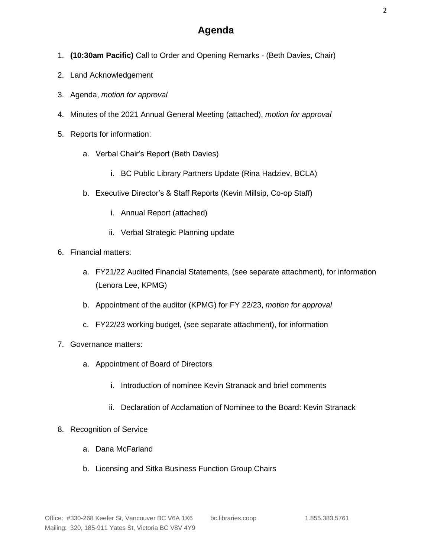# **Agenda**

- 1. **(10:30am Pacific)** Call to Order and Opening Remarks (Beth Davies, Chair)
- 2. Land Acknowledgement
- 3. Agenda, *motion for approval*
- 4. Minutes of the 2021 Annual General Meeting (attached), *motion for approval*
- 5. Reports for information:
	- a. Verbal Chair's Report (Beth Davies)
		- i. BC Public Library Partners Update (Rina Hadziev, BCLA)
	- b. Executive Director's & Staff Reports (Kevin Millsip, Co-op Staff)
		- i. Annual Report (attached)
		- ii. Verbal Strategic Planning update
- 6. Financial matters:
	- a. FY21/22 Audited Financial Statements, (see separate attachment), for information (Lenora Lee, KPMG)
	- b. Appointment of the auditor (KPMG) for FY 22/23, *motion for approval*
	- c. FY22/23 working budget, (see separate attachment), for information
- 7. Governance matters:
	- a. Appointment of Board of Directors
		- i. Introduction of nominee Kevin Stranack and brief comments
		- ii. Declaration of Acclamation of Nominee to the Board: Kevin Stranack
- 8. Recognition of Service
	- a. Dana McFarland
	- b. Licensing and Sitka Business Function Group Chairs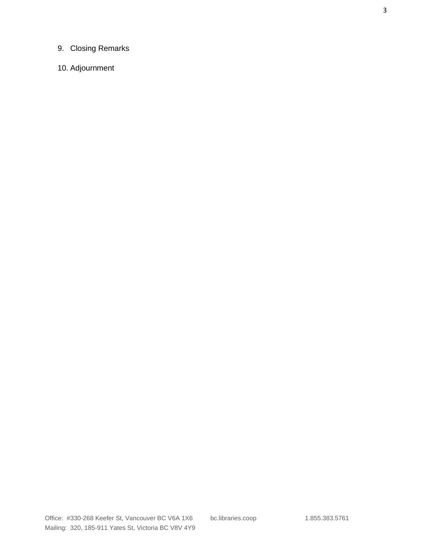# 9. Closing Remarks

# 10. Adjournment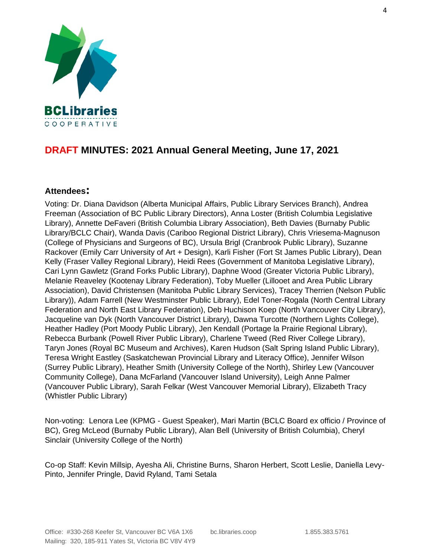

# **DRAFT MINUTES: 2021 Annual General Meeting, June 17, 2021**

## **Attendees:**

Voting: Dr. Diana Davidson (Alberta Municipal Affairs, Public Library Services Branch), Andrea Freeman (Association of BC Public Library Directors), Anna Loster (British Columbia Legislative Library), Annette DeFaveri (British Columbia Library Association), Beth Davies (Burnaby Public Library/BCLC Chair), Wanda Davis (Cariboo Regional District Library), Chris Vriesema-Magnuson (College of Physicians and Surgeons of BC), Ursula Brigl (Cranbrook Public Library), Suzanne Rackover (Emily Carr University of Art + Design), Karli Fisher (Fort St James Public Library), Dean Kelly (Fraser Valley Regional Library), Heidi Rees (Government of Manitoba Legislative Library), Cari Lynn Gawletz (Grand Forks Public Library), Daphne Wood (Greater Victoria Public Library), Melanie Reaveley (Kootenay Library Federation), Toby Mueller (Lillooet and Area Public Library Association), David Christensen (Manitoba Public Library Services), Tracey Therrien (Nelson Public Library)), Adam Farrell (New Westminster Public Library), Edel Toner-Rogala (North Central Library Federation and North East Library Federation), Deb Huchison Koep (North Vancouver City Library), Jacqueline van Dyk (North Vancouver District Library), Dawna Turcotte (Northern Lights College), Heather Hadley (Port Moody Public Library), Jen Kendall (Portage la Prairie Regional Library), Rebecca Burbank (Powell River Public Library), Charlene Tweed (Red River College Library), Taryn Jones (Royal BC Museum and Archives), Karen Hudson (Salt Spring Island Public Library), Teresa Wright Eastley (Saskatchewan Provincial Library and Literacy Office), Jennifer Wilson (Surrey Public Library), Heather Smith (University College of the North), Shirley Lew (Vancouver Community College), Dana McFarland (Vancouver Island University), Leigh Anne Palmer (Vancouver Public Library), Sarah Felkar (West Vancouver Memorial Library), Elizabeth Tracy (Whistler Public Library)

Non-voting: Lenora Lee (KPMG - Guest Speaker), Mari Martin (BCLC Board ex officio / Province of BC), Greg McLeod (Burnaby Public Library), Alan Bell (University of British Columbia), Cheryl Sinclair (University College of the North)

Co-op Staff: Kevin Millsip, Ayesha Ali, Christine Burns, Sharon Herbert, Scott Leslie, Daniella Levy-Pinto, Jennifer Pringle, David Ryland, Tami Setala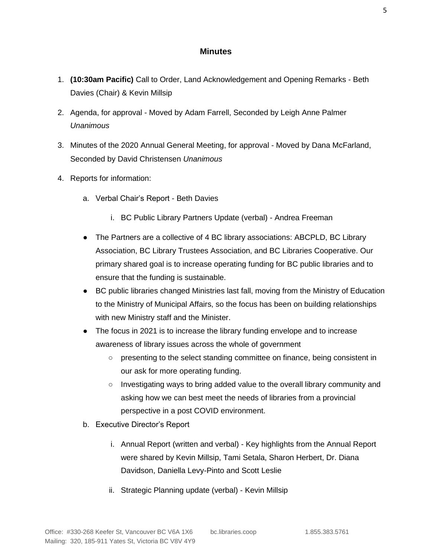### **Minutes**

- 1. **(10:30am Pacific)** Call to Order, Land Acknowledgement and Opening Remarks Beth Davies (Chair) & Kevin Millsip
- 2. Agenda, for approval Moved by Adam Farrell, Seconded by Leigh Anne Palmer *Unanimous*
- 3. Minutes of the 2020 Annual General Meeting, for approval Moved by Dana McFarland, Seconded by David Christensen *Unanimous*
- 4. Reports for information:
	- a. Verbal Chair's Report Beth Davies
		- i. BC Public Library Partners Update (verbal) Andrea Freeman
	- The Partners are a collective of 4 BC library associations: ABCPLD, BC Library Association, BC Library Trustees Association, and BC Libraries Cooperative. Our primary shared goal is to increase operating funding for BC public libraries and to ensure that the funding is sustainable.
	- BC public libraries changed Ministries last fall, moving from the Ministry of Education to the Ministry of Municipal Affairs, so the focus has been on building relationships with new Ministry staff and the Minister.
	- The focus in 2021 is to increase the library funding envelope and to increase awareness of library issues across the whole of government
		- presenting to the select standing committee on finance, being consistent in our ask for more operating funding.
		- Investigating ways to bring added value to the overall library community and asking how we can best meet the needs of libraries from a provincial perspective in a post COVID environment.
	- b. Executive Director's Report
		- i. Annual Report (written and verbal) Key highlights from the Annual Report were shared by Kevin Millsip, Tami Setala, Sharon Herbert, Dr. Diana Davidson, Daniella Levy-Pinto and Scott Leslie
		- ii. Strategic Planning update (verbal) Kevin Millsip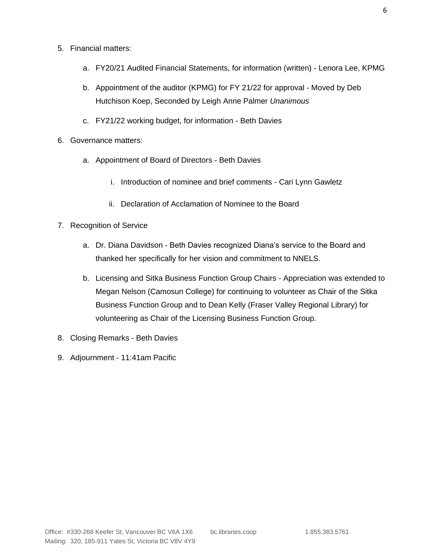- 5. Financial matters:
	- a. FY20/21 Audited Financial Statements, for information (written) Lenora Lee, KPMG
	- b. Appointment of the auditor (KPMG) for FY 21/22 for approval Moved by Deb Hutchison Koep, Seconded by Leigh Anne Palmer *Unanimous*
	- c. FY21/22 working budget, for information Beth Davies
- 6. Governance matters:
	- a. Appointment of Board of Directors Beth Davies
		- i. Introduction of nominee and brief comments Cari Lynn Gawletz
		- ii. Declaration of Acclamation of Nominee to the Board
- 7. Recognition of Service
	- a. Dr. Diana Davidson Beth Davies recognized Diana's service to the Board and thanked her specifically for her vision and commitment to NNELS.
	- b. Licensing and Sitka Business Function Group Chairs Appreciation was extended to Megan Nelson (Camosun College) for continuing to volunteer as Chair of the Sitka Business Function Group and to Dean Kelly (Fraser Valley Regional Library) for volunteering as Chair of the Licensing Business Function Group.
- 8. Closing Remarks Beth Davies
- 9. Adjournment 11:41am Pacific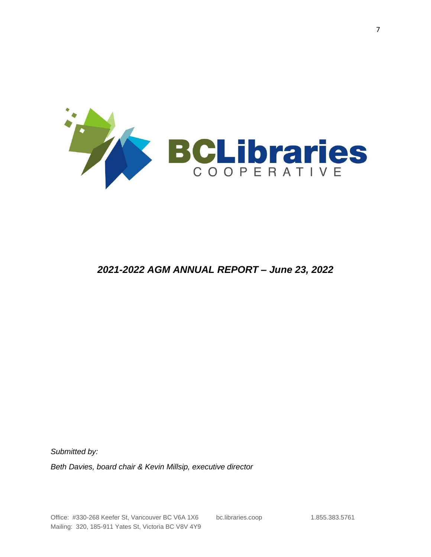

# *2021-2022 AGM ANNUAL REPORT – June 23, 2022*

*Submitted by:*

*Beth Davies, board chair & Kevin Millsip, executive director*

Office: #330-268 Keefer St, Vancouver BC V6A 1X6 bc.libraries.coop 1.855.383.5761 Mailing: 320, 185-911 Yates St, Victoria BC V8V 4Y9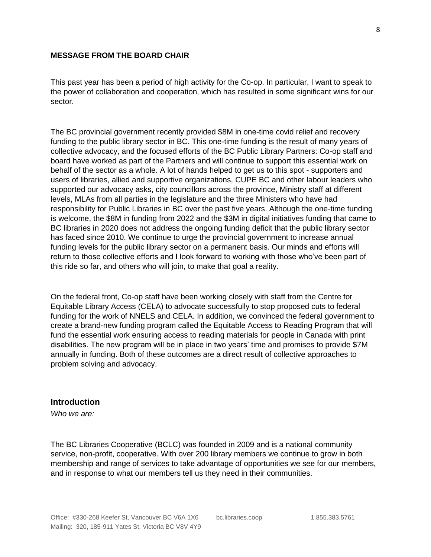#### **MESSAGE FROM THE BOARD CHAIR**

This past year has been a period of high activity for the Co-op. In particular, I want to speak to the power of collaboration and cooperation, which has resulted in some significant wins for our sector.

The BC provincial government recently provided \$8M in one-time covid relief and recovery funding to the public library sector in BC. This one-time funding is the result of many years of collective advocacy, and the focused efforts of the BC Public Library Partners: Co-op staff and board have worked as part of the Partners and will continue to support this essential work on behalf of the sector as a whole. A lot of hands helped to get us to this spot - supporters and users of libraries, allied and supportive organizations, CUPE BC and other labour leaders who supported our advocacy asks, city councillors across the province, Ministry staff at different levels, MLAs from all parties in the legislature and the three Ministers who have had responsibility for Public Libraries in BC over the past five years. Although the one-time funding is welcome, the \$8M in funding from 2022 and the \$3M in digital initiatives funding that came to BC libraries in 2020 does not address the ongoing funding deficit that the public library sector has faced since 2010. We continue to urge the provincial government to increase annual funding levels for the public library sector on a permanent basis. Our minds and efforts will return to those collective efforts and I look forward to working with those who've been part of this ride so far, and others who will join, to make that goal a reality.

On the federal front, Co-op staff have been working closely with staff from the Centre for Equitable Library Access (CELA) to advocate successfully to stop proposed cuts to federal funding for the work of NNELS and CELA. In addition, we convinced the federal government to create a brand-new funding program called the Equitable Access to Reading Program that will fund the essential work ensuring access to reading materials for people in Canada with print disabilities. The new program will be in place in two years' time and promises to provide \$7M annually in funding. Both of these outcomes are a direct result of collective approaches to problem solving and advocacy.

#### **Introduction**

*Who we are:*

The BC Libraries Cooperative (BCLC) was founded in 2009 and is a national community service, non-profit, cooperative. With over 200 library members we continue to grow in both membership and range of services to take advantage of opportunities we see for our members, and in response to what our members tell us they need in their communities.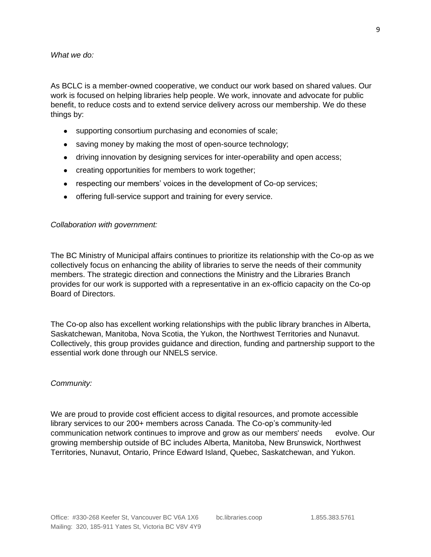#### *What we do:*

As BCLC is a member-owned cooperative, we conduct our work based on shared values. Our work is focused on helping libraries help people. We work, innovate and advocate for public benefit, to reduce costs and to extend service delivery across our membership. We do these things by:

- supporting consortium purchasing and economies of scale;
- saving money by making the most of open-source technology;
- driving innovation by designing services for inter-operability and open access;
- creating opportunities for members to work together;
- respecting our members' voices in the development of Co-op services;
- offering full-service support and training for every service.

#### *Collaboration with government:*

The BC Ministry of Municipal affairs continues to prioritize its relationship with the Co-op as we collectively focus on enhancing the ability of libraries to serve the needs of their community members. The strategic direction and connections the Ministry and the Libraries Branch provides for our work is supported with a representative in an ex-officio capacity on the Co-op Board of Directors.

The Co-op also has excellent working relationships with the public library branches in Alberta, Saskatchewan, Manitoba, Nova Scotia, the Yukon, the Northwest Territories and Nunavut. Collectively, this group provides guidance and direction, funding and partnership support to the essential work done through our NNELS service.

#### *Community:*

We are proud to provide cost efficient access to digital resources, and promote accessible library services to our 200+ members across Canada. The Co-op's community-led communication network continues to improve and grow as our members' needs evolve. Our growing membership outside of BC includes Alberta, Manitoba, New Brunswick, Northwest Territories, Nunavut, Ontario, Prince Edward Island, Quebec, Saskatchewan, and Yukon.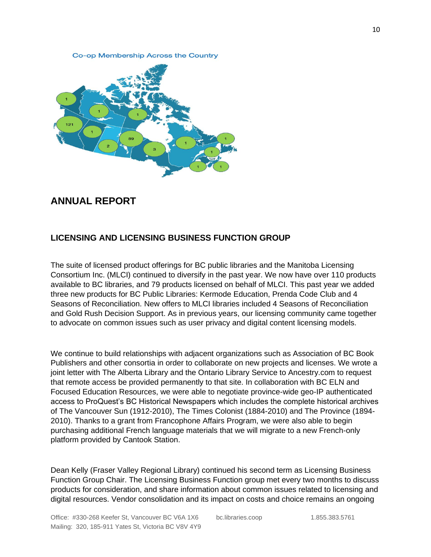Co-op Membership Across the Country



# **ANNUAL REPORT**

#### **LICENSING AND LICENSING BUSINESS FUNCTION GROUP**

The suite of licensed product offerings for BC public libraries and the Manitoba Licensing Consortium Inc. (MLCI) continued to diversify in the past year. We now have over 110 products available to BC libraries, and 79 products licensed on behalf of MLCI. This past year we added three new products for BC Public Libraries: Kermode Education, Prenda Code Club and 4 Seasons of Reconciliation. New offers to MLCI libraries included 4 Seasons of Reconciliation and Gold Rush Decision Support. As in previous years, our licensing community came together to advocate on common issues such as user privacy and digital content licensing models.

We continue to build relationships with adjacent organizations such as Association of BC Book Publishers and other consortia in order to collaborate on new projects and licenses. We wrote a joint letter with The Alberta Library and the Ontario Library Service to Ancestry.com to request that remote access be provided permanently to that site. In collaboration with BC ELN and Focused Education Resources, we were able to negotiate province-wide geo-IP authenticated access to ProQuest's BC Historical Newspapers which includes the complete historical archives of The Vancouver Sun (1912-2010), The Times Colonist (1884-2010) and The Province (1894- 2010). Thanks to a grant from Francophone Affairs Program, we were also able to begin purchasing additional French language materials that we will migrate to a new French-only platform provided by Cantook Station.

Dean Kelly (Fraser Valley Regional Library) continued his second term as Licensing Business Function Group Chair. The Licensing Business Function group met every two months to discuss products for consideration, and share information about common issues related to licensing and digital resources. Vendor consolidation and its impact on costs and choice remains an ongoing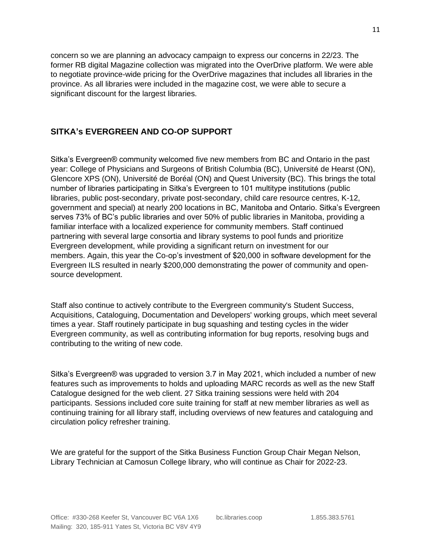concern so we are planning an advocacy campaign to express our concerns in 22/23. The former RB digital Magazine collection was migrated into the OverDrive platform. We were able to negotiate province-wide pricing for the OverDrive magazines that includes all libraries in the province. As all libraries were included in the magazine cost, we were able to secure a significant discount for the largest libraries.

## **SITKA's EVERGREEN AND CO-OP SUPPORT**

Sitka's Evergreen® community welcomed five new members from BC and Ontario in the past year: College of Physicians and Surgeons of British Columbia (BC), Université de Hearst (ON), Glencore XPS (ON), Université de Boréal (ON) and Quest University (BC). This brings the total number of libraries participating in Sitka's Evergreen to 101 multitype institutions (public libraries, public post-secondary, private post-secondary, child care resource centres, K-12, government and special) at nearly 200 locations in BC, Manitoba and Ontario. Sitka's Evergreen serves 73% of BC's public libraries and over 50% of public libraries in Manitoba, providing a familiar interface with a localized experience for community members. Staff continued partnering with several large consortia and library systems to pool funds and prioritize Evergreen development, while providing a significant return on investment for our members. Again, this year the Co-op's investment of \$20,000 in software development for the Evergreen ILS resulted in nearly \$200,000 demonstrating the power of community and opensource development.

Staff also continue to actively contribute to the Evergreen community's Student Success, Acquisitions, Cataloguing, Documentation and Developers' working groups, which meet several times a year. Staff routinely participate in bug squashing and testing cycles in the wider Evergreen community, as well as contributing information for bug reports, resolving bugs and contributing to the writing of new code.

Sitka's Evergreen® was upgraded to version 3.7 in May 2021, which included a number of new features such as improvements to holds and uploading MARC records as well as the new Staff Catalogue designed for the web client. 27 Sitka training sessions were held with 204 participants. Sessions included core suite training for staff at new member libraries as well as continuing training for all library staff, including overviews of new features and cataloguing and circulation policy refresher training.

We are grateful for the support of the Sitka Business Function Group Chair Megan Nelson, Library Technician at Camosun College library, who will continue as Chair for 2022-23.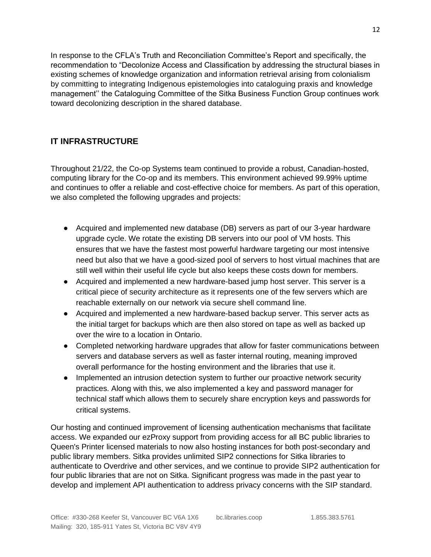In response to the [CFLA's Truth and Reconciliation Committee's Report](http://cfla-fcab.ca/wp-content/uploads/2018/10/Truth-and-Reconciliation-Committee-Report-and-Recommendations-ISBN1.pdf) and specifically, the recommendation to "Decolonize Access and Classification by addressing the structural biases in existing schemes of knowledge organization and information retrieval arising from colonialism by committing to integrating Indigenous epistemologies into cataloguing praxis and knowledge management'' the Cataloguing Committee of the Sitka Business Function Group continues work toward decolonizing description in the shared database.

# **IT INFRASTRUCTURE**

Throughout 21/22, the Co-op Systems team continued to provide a robust, Canadian-hosted, computing library for the Co-op and its members. This environment achieved 99.99% uptime and continues to offer a reliable and cost-effective choice for members. As part of this operation, we also completed the following upgrades and projects:

- Acquired and implemented new database (DB) servers as part of our 3-year hardware upgrade cycle. We rotate the existing DB servers into our pool of VM hosts. This ensures that we have the fastest most powerful hardware targeting our most intensive need but also that we have a good-sized pool of servers to host virtual machines that are still well within their useful life cycle but also keeps these costs down for members.
- Acquired and implemented a new hardware-based jump host server. This server is a critical piece of security architecture as it represents one of the few servers which are reachable externally on our network via secure shell command line.
- Acquired and implemented a new hardware-based backup server. This server acts as the initial target for backups which are then also stored on tape as well as backed up over the wire to a location in Ontario.
- Completed networking hardware upgrades that allow for faster communications between servers and database servers as well as faster internal routing, meaning improved overall performance for the hosting environment and the libraries that use it.
- Implemented an intrusion detection system to further our proactive network security practices. Along with this, we also implemented a key and password manager for technical staff which allows them to securely share encryption keys and passwords for critical systems.

Our hosting and continued improvement of licensing authentication mechanisms that facilitate access. We expanded our ezProxy support from providing access for all BC public libraries to Queen's Printer licensed materials to now also hosting instances for both post-secondary and public library members. Sitka provides unlimited SIP2 connections for Sitka libraries to authenticate to Overdrive and other services, and we continue to provide SIP2 authentication for four public libraries that are not on Sitka. Significant progress was made in the past year to develop and implement API authentication to address privacy concerns with the SIP standard.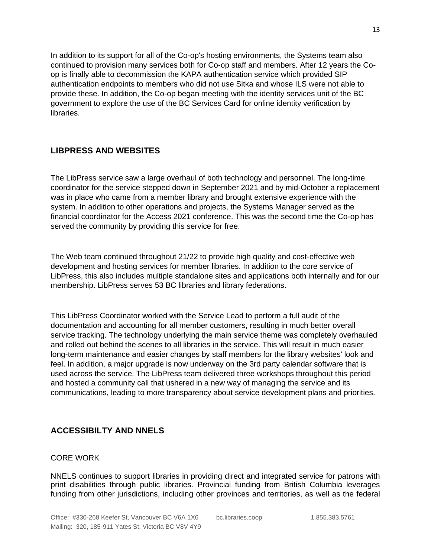In addition to its support for all of the Co-op's hosting environments, the Systems team also continued to provision many services both for Co-op staff and members. After 12 years the Coop is finally able to decommission the KAPA authentication service which provided SIP authentication endpoints to members who did not use Sitka and whose ILS were not able to provide these. In addition, the Co-op began meeting with the identity services unit of the BC government to explore the use of the BC Services Card for online identity verification by libraries.

### **LIBPRESS AND WEBSITES**

The LibPress service saw a large overhaul of both technology and personnel. The long-time coordinator for the service stepped down in September 2021 and by mid-October a replacement was in place who came from a member library and brought extensive experience with the system. In addition to other operations and projects, the Systems Manager served as the financial coordinator for the Access 2021 conference. This was the second time the Co-op has served the community by providing this service for free.

The Web team continued throughout 21/22 to provide high quality and cost-effective web development and hosting services for member libraries. In addition to the core service of LibPress, this also includes multiple standalone sites and applications both internally and for our membership. LibPress serves 53 BC libraries and library federations.

This LibPress Coordinator worked with the Service Lead to perform a full audit of the documentation and accounting for all member customers, resulting in much better overall service tracking. The technology underlying the main service theme was completely overhauled and rolled out behind the scenes to all libraries in the service. This will result in much easier long-term maintenance and easier changes by staff members for the library websites' look and feel. In addition, a major upgrade is now underway on the 3rd party calendar software that is used across the service. The LibPress team delivered three workshops throughout this period and hosted a community call that ushered in a new way of managing the service and its communications, leading to more transparency about service development plans and priorities.

# **ACCESSIBILTY AND NNELS**

#### CORE WORK

NNELS continues to support libraries in providing direct and integrated service for patrons with print disabilities through public libraries. Provincial funding from British Columbia leverages funding from other jurisdictions, including other provinces and territories, as well as the federal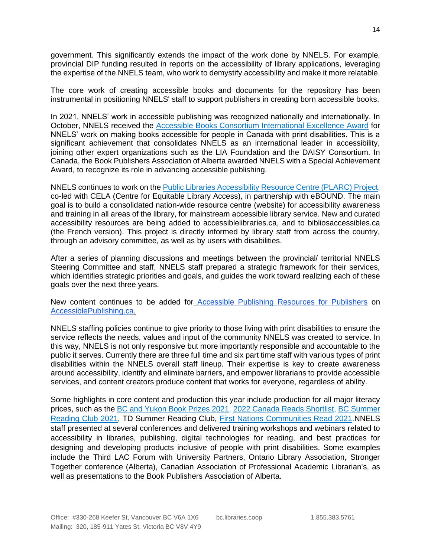government. This significantly extends the impact of the work done by NNELS. For example, provincial DIP funding resulted in reports on the accessibility of library applications, leveraging the expertise of the NNELS team, who work to demystify accessibility and make it more relatable.

The core work of creating accessible books and documents for the repository has been instrumental in positioning NNELS' staff to support publishers in creating born accessible books.

In 2021, NNELS' work in accessible publishing was recognized nationally and internationally. In October, NNELS received the [Accessible Books Consortium International Excellence Award](https://nnels.ca/news/nnels-wins-abc-international-excellence-awards-initiative-2021) for NNELS' work on making books accessible for people in Canada with print disabilities. This is a significant achievement that consolidates NNELS as an international leader in accessibility, joining other expert organizations such as the LIA Foundation and the DAISY Consortium. In Canada, the Book Publishers Association of Alberta awarded NNELS with a Special Achievement Award, to recognize its role in advancing accessible publishing.

NNELS continues to work on the [Public Libraries Accessibility Resource Centre \(PLARC\) Project,](file:///C:/Users/danie/Documents/=NNELS%20H/=0important/Public%20Library%20Accessibility%20Resource%20Centre) co-led with CELA (Centre for Equitable Library Access), in partnership with eBOUND. The main goal is to build a consolidated nation-wide resource centre (website) for accessibility awareness and training in all areas of the library, for mainstream accessible library service. New and curated accessibility resources are being added to accessiblelibraries.ca, and to bibliosaccessibles.ca (the French version). This project is directly informed by library staff from across the country, through an advisory committee, as well as by users with disabilities.

After a series of planning discussions and meetings between the provincial/ territorial NNELS Steering Committee and staff, NNELS staff prepared a strategic framework for their services, which identifies strategic priorities and goals, and guides the work toward realizing each of these goals over the next three years.

New content continues to be added for [Accessible Publishing Resources for Publishers](https://nnels.ca/news/accessible-resources-for-publishers) o[n](http://accessiblepublishing.ca/) [AccessiblePublishing.ca.](http://accessiblepublishing.ca/)

NNELS staffing policies continue to give priority to those living with print disabilities to ensure the service reflects the needs, values and input of the community NNELS was created to service. In this way, NNELS is not only responsive but more importantly responsible and accountable to the public it serves. Currently there are three full time and six part time staff with various types of print disabilities within the NNELS overall staff lineup. Their expertise is key to create awareness around accessibility, identify and eliminate barriers, and empower librarians to provide accessible services, and content creators produce content that works for everyone, regardless of ability.

Some highlights in core content and production this year include production for all major literacy prices, such as the [BC and Yukon Book Prizes 2021,](https://nnels.ca/relations/bc-and-yukon-book-prizes-2021) [2022 Canada Reads Shortlist,](https://nnels.ca/news/2022-canada-reads-shortlist) BC Summer [Reading Club 2021,](https://nnels.ca/relations/bc-summer-reading-club-2021) TD Summer Reading Club, [First Nations Communities Read 2021.](https://nnels.ca/relations/first-nations-communities-read-2021)NNELS staff presented at several conferences and delivered training workshops and webinars related to accessibility in libraries, publishing, digital technologies for reading, and best practices for designing and developing products inclusive of people with print disabilities. Some examples include the Third LAC Forum with University Partners, Ontario Library Association, Stronger Together conference (Alberta), Canadian Association of Professional Academic Librarian's, as well as presentations to the Book Publishers Association of Alberta.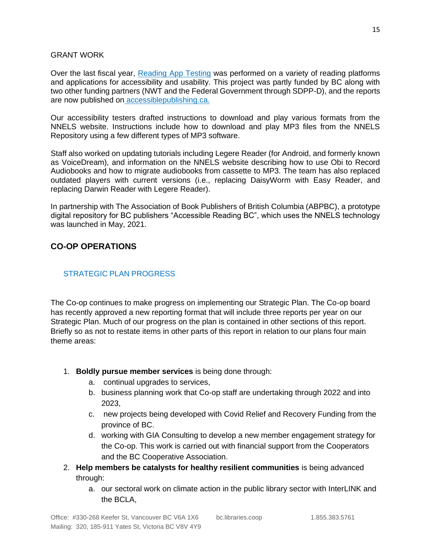#### GRANT WORK

Over the last fiscal year, [Reading App Testing](https://nnels.ca/news/reading-app-testing) was performed on a variety of reading platforms and applications for accessibility and usability. This project was partly funded by BC along with two other funding partners (NWT and the Federal Government through SDPP-D), and the reports are now published on [accessiblepublishing.ca.](http://accessiblepublishing.ca/)

Our accessibility testers drafted instructions to download and play various formats from the NNELS website. Instructions include how to download and play MP3 files from the NNELS Repository using a few different types of MP3 software.

Staff also worked on updating tutorials including Legere Reader (for Android, and formerly known as VoiceDream), and information on the NNELS website describing how to use Obi to Record Audiobooks and how to migrate audiobooks from cassette to MP3. The team has also replaced outdated players with current versions (i.e., replacing DaisyWorm with Easy Reader, and replacing Darwin Reader with Legere Reader).

In partnership with The Association of Book Publishers of British Columbia (ABPBC), a prototype digital repository for BC publishers "Accessible Reading BC", which uses the NNELS technology was launched in May, 2021.

## **CO-OP OPERATIONS**

### STRATEGIC PLAN PROGRESS

The Co-op continues to make progress on implementing our Strategic Plan. The Co-op board has recently approved a new reporting format that will include three reports per year on our Strategic Plan. Much of our progress on the plan is contained in other sections of this report. Briefly so as not to restate items in other parts of this report in relation to our plans four main theme areas:

- 1. **Boldly pursue member services** is being done through:
	- a. continual upgrades to services,
	- b. business planning work that Co-op staff are undertaking through 2022 and into 2023,
	- c. new projects being developed with Covid Relief and Recovery Funding from the province of BC.
	- d. working with GIA Consulting to develop a new member engagement strategy for the Co-op. This work is carried out with financial support from the Cooperators and the BC Cooperative Association.
- 2. **Help members be catalysts for healthy resilient communities** is being advanced through:
	- a. our sectoral work on climate action in the public library sector with InterLINK and the BCLA,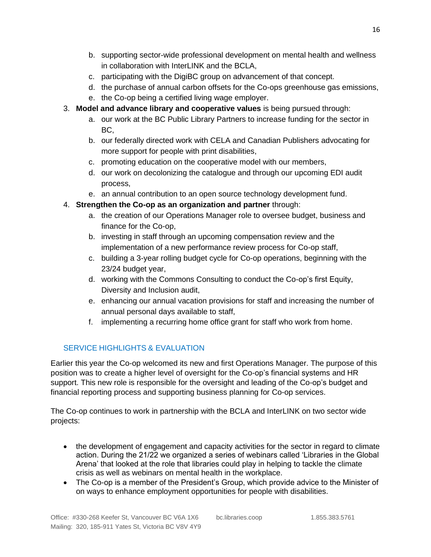- b. supporting sector-wide professional development on mental health and wellness in collaboration with InterLINK and the BCLA,
- c. participating with the DigiBC group on advancement of that concept.
- d. the purchase of annual carbon offsets for the Co-ops greenhouse gas emissions,
- e. the Co-op being a certified living wage employer.
- 3. **Model and advance library and cooperative values** is being pursued through:
	- a. our work at the BC Public Library Partners to increase funding for the sector in BC,
	- b. our federally directed work with CELA and Canadian Publishers advocating for more support for people with print disabilities,
	- c. promoting education on the cooperative model with our members,
	- d. our work on decolonizing the catalogue and through our upcoming EDI audit process,
	- e. an annual contribution to an open source technology development fund.

## 4. **Strengthen the Co-op as an organization and partner** through:

- a. the creation of our Operations Manager role to oversee budget, business and finance for the Co-op,
- b. investing in staff through an upcoming compensation review and the implementation of a new performance review process for Co-op staff,
- c. building a 3-year rolling budget cycle for Co-op operations, beginning with the 23/24 budget year,
- d. working with the Commons Consulting to conduct the Co-op's first Equity, Diversity and Inclusion audit,
- e. enhancing our annual vacation provisions for staff and increasing the number of annual personal days available to staff,
- f. implementing a recurring home office grant for staff who work from home.

# SERVICE HIGHLIGHTS & EVALUATION

Earlier this year the Co-op welcomed its new and first Operations Manager. The purpose of this position was to create a higher level of oversight for the Co-op's financial systems and HR support. This new role is responsible for the oversight and leading of the Co-op's budget and financial reporting process and supporting business planning for Co-op services.

The Co-op continues to work in partnership with the BCLA and InterLINK on two sector wide projects:

- the development of engagement and capacity activities for the sector in regard to climate action. During the 21/22 we organized a series of webinars called 'Libraries in the Global Arena' that looked at the role that libraries could play in helping to tackle the climate crisis as well as webinars on mental health in the workplace.
- The Co-op is a member of the President's Group, which provide advice to the Minister of on ways to enhance employment opportunities for people with disabilities.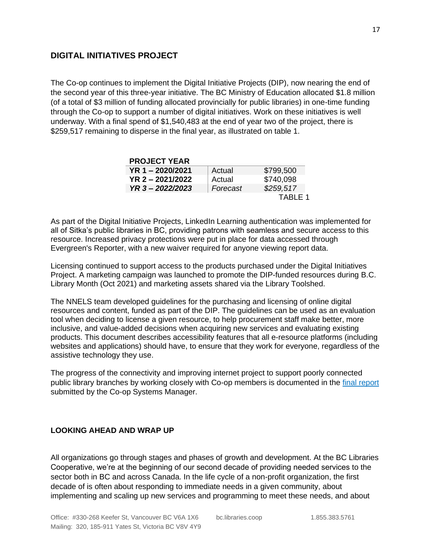## **DIGITAL INITIATIVES PROJECT**

The Co-op continues to implement the Digital Initiative Projects (DIP), now nearing the end of the second year of this three-year initiative. The BC Ministry of Education allocated \$1.8 million (of a total of \$3 million of funding allocated provincially for public libraries) in one-time funding through the Co-op to support a number of digital initiatives. Work on these initiatives is well underway. With a final spend of \$1,540,483 at the end of year two of the project, there is \$259,517 remaining to disperse in the final year, as illustrated on table 1.

| <b>PROJECT YEAR</b> |          |           |
|---------------------|----------|-----------|
| $YR 1 - 2020/2021$  | Actual   | \$799,500 |
| $YR$ 2 - 2021/2022  | Actual   | \$740,098 |
| YR 3-2022/2023      | Forecast | \$259,517 |
|                     |          | TABLE 1   |

As part of the Digital Initiative Projects, LinkedIn Learning authentication was implemented for all of Sitka's public libraries in BC, providing patrons with seamless and secure access to this resource. Increased privacy protections were put in place for data accessed through Evergreen's Reporter, with a new waiver required for anyone viewing report data.

Licensing continued to support access to the products purchased under the Digital Initiatives Project. A marketing campaign was launched to promote the DIP-funded resources during B.C. Library Month (Oct 2021) and marketing assets shared via the Library Toolshed.

The NNELS team developed guidelines for the purchasing and licensing of online digital resources and content, funded as part of the DIP. The guidelines can be used as an evaluation tool when deciding to license a given resource, to help procurement staff make better, more inclusive, and value-added decisions when acquiring new services and evaluating existing products. This document describes accessibility features that all e-resource platforms (including websites and applications) should have, to ensure that they work for everyone, regardless of the assistive technology they use.

The progress of the connectivity and improving internet project to support poorly connected public library branches by working closely with Co-op members is documented in the [final report](file:///C:/Users/ayeshaali/Sync/Admin/Correspondence/Ministry%20of%20Education%20BC/Grants/DIP%20grant/DIP-Connectivity%20File-FinalReport-Leslie-Dec%202021.pdf) submitted by the Co-op Systems Manager.

#### **LOOKING AHEAD AND WRAP UP**

All organizations go through stages and phases of growth and development. At the BC Libraries Cooperative, we're at the beginning of our second decade of providing needed services to the sector both in BC and across Canada. In the life cycle of a non-profit organization, the first decade of is often about responding to immediate needs in a given community, about implementing and scaling up new services and programming to meet these needs, and about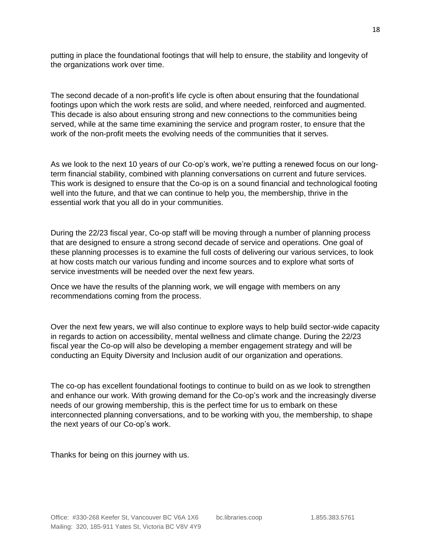putting in place the foundational footings that will help to ensure, the stability and longevity of the organizations work over time.

The second decade of a non-profit's life cycle is often about ensuring that the foundational footings upon which the work rests are solid, and where needed, reinforced and augmented. This decade is also about ensuring strong and new connections to the communities being served, while at the same time examining the service and program roster, to ensure that the work of the non-profit meets the evolving needs of the communities that it serves.

As we look to the next 10 years of our Co-op's work, we're putting a renewed focus on our longterm financial stability, combined with planning conversations on current and future services. This work is designed to ensure that the Co-op is on a sound financial and technological footing well into the future, and that we can continue to help you, the membership, thrive in the essential work that you all do in your communities.

During the 22/23 fiscal year, Co-op staff will be moving through a number of planning process that are designed to ensure a strong second decade of service and operations. One goal of these planning processes is to examine the full costs of delivering our various services, to look at how costs match our various funding and income sources and to explore what sorts of service investments will be needed over the next few years.

Once we have the results of the planning work, we will engage with members on any recommendations coming from the process.

Over the next few years, we will also continue to explore ways to help build sector-wide capacity in regards to action on accessibility, mental wellness and climate change. During the 22/23 fiscal year the Co-op will also be developing a member engagement strategy and will be conducting an Equity Diversity and Inclusion audit of our organization and operations.

The co-op has excellent foundational footings to continue to build on as we look to strengthen and enhance our work. With growing demand for the Co-op's work and the increasingly diverse needs of our growing membership, this is the perfect time for us to embark on these interconnected planning conversations, and to be working with you, the membership, to shape the next years of our Co-op's work.

Thanks for being on this journey with us.